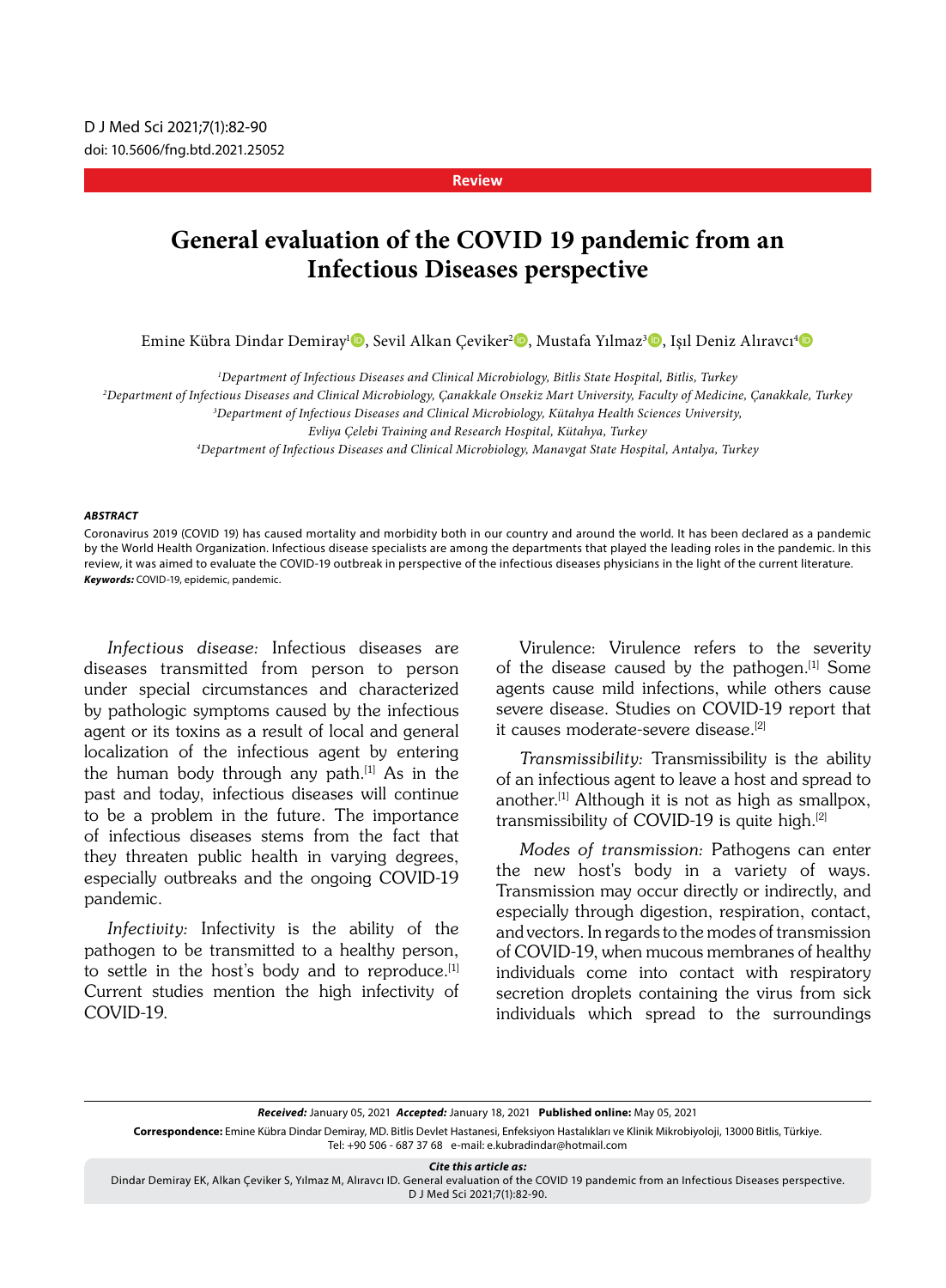#### **Review**

# **General evaluation of the COVID 19 pandemic from an Infectious Diseases perspective**

Emine Kübra Dindar Demiray<sup>ı (</sup>D. Sevil Alkan Çeviker<sup>2</sup> (D. Mustafa Yılmaz<sup>3</sup> (D. Işıl Deniz Alıravcı<sup>4</sup> (D

*1 Department of Infectious Diseases and Clinical Microbiology, Bitlis State Hospital, Bitlis, Turkey*

*2 Department of Infectious Diseases and Clinical Microbiology, Çanakkale Onsekiz Mart University, Faculty of Medicine, Çanakkale, Turkey*

*3 Department of Infectious Diseases and Clinical Microbiology, Kütahya Health Sciences University,* 

*Evliya Çelebi Training and Research Hospital, Kütahya, Turkey*

*4 Department of Infectious Diseases and Clinical Microbiology, Manavgat State Hospital, Antalya, Turkey*

#### *ABSTRACT*

Coronavirus 2019 (COVID 19) has caused mortality and morbidity both in our country and around the world. It has been declared as a pandemic by the World Health Organization. Infectious disease specialists are among the departments that played the leading roles in the pandemic. In this review, it was aimed to evaluate the COVID-19 outbreak in perspective of the infectious diseases physicians in the light of the current literature. *Keywords:* COVID-19, epidemic, pandemic.

Infectious disease: Infectious diseases are diseases transmitted from person to person under special circumstances and characterized by pathologic symptoms caused by the infectious agent or its toxins as a result of local and general localization of the infectious agent by entering the human body through any path.<sup>[1]</sup> As in the past and today, infectious diseases will continue to be a problem in the future. The importance of infectious diseases stems from the fact that they threaten public health in varying degrees, especially outbreaks and the ongoing COVID-19 pandemic.

Infectivity: Infectivity is the ability of the pathogen to be transmitted to a healthy person, to settle in the host's body and to reproduce.<sup>[1]</sup> Current studies mention the high infectivity of COVID-19.

Virulence: Virulence refers to the severity of the disease caused by the pathogen.[1] Some agents cause mild infections, while others cause severe disease. Studies on COVID-19 report that it causes moderate-severe disease.<sup>[2]</sup>

Transmissibility: Transmissibility is the ability of an infectious agent to leave a host and spread to another.[1] Although it is not as high as smallpox, transmissibility of COVID-19 is quite high.[2]

Modes of transmission: Pathogens can enter the new host's body in a variety of ways. Transmission may occur directly or indirectly, and especially through digestion, respiration, contact, and vectors. In regards to the modes of transmission of COVID-19, when mucous membranes of healthy individuals come into contact with respiratory secretion droplets containing the virus from sick individuals which spread to the surroundings

*Received:* January 05, 2021 *Accepted:* January 18, 2021 **Published online:** May 05, 2021

**Correspondence:** Emine Kübra Dindar Demiray, MD. Bitlis Devlet Hastanesi, Enfeksiyon Hastalıkları ve Klinik Mikrobiyoloji, 13000 Bitlis, Türkiye. Tel: +90 506 - 687 37 68 e-mail: e.kubradindar@hotmail.com

*Cite this article as:*

Dindar Demiray EK, Alkan Çeviker S, Yılmaz M, Alıravcı ID. General evaluation of the COVID 19 pandemic from an Infectious Diseases perspective. D J Med Sci 2021;7(1):82-90.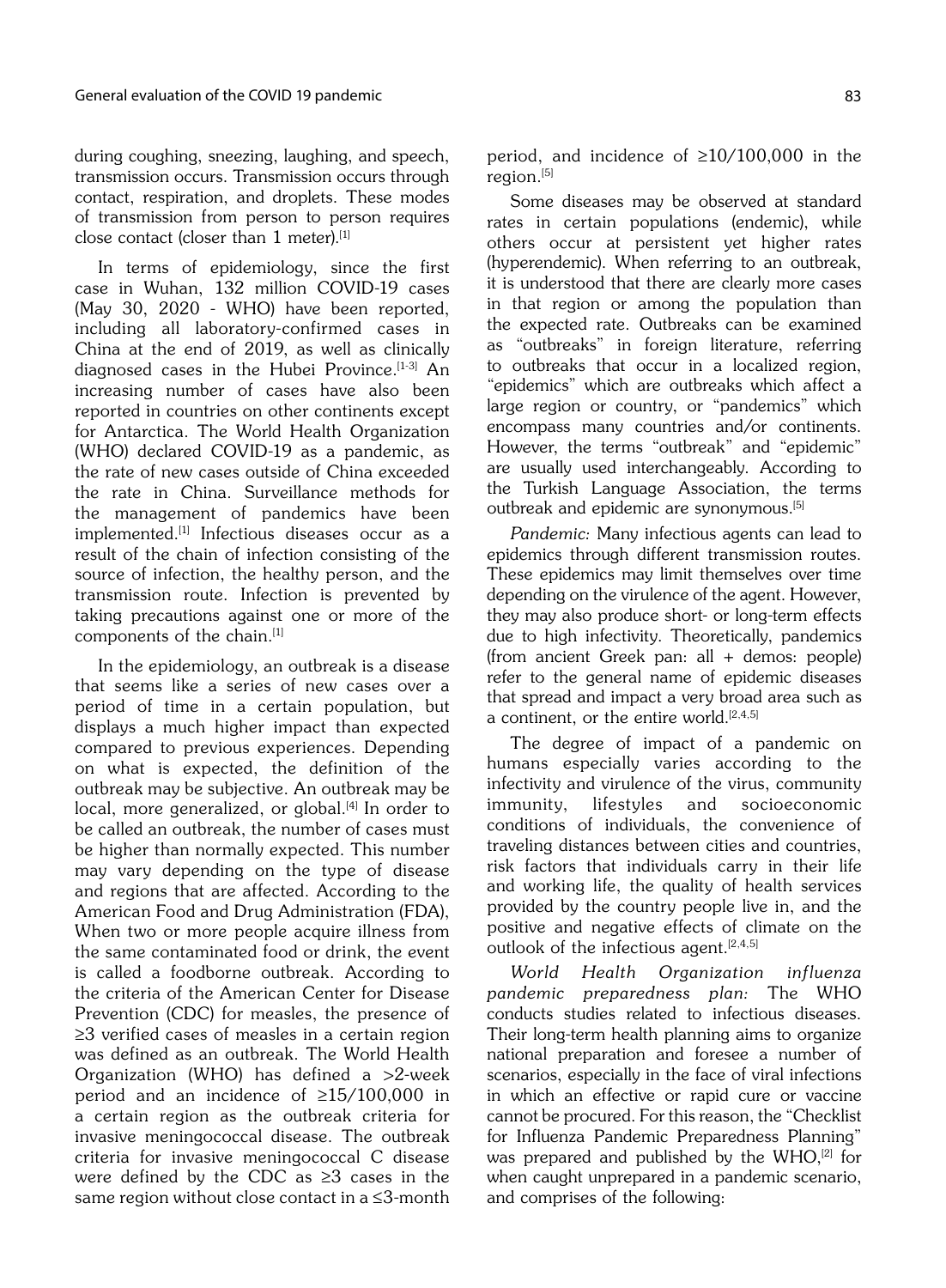during coughing, sneezing, laughing, and speech, transmission occurs. Transmission occurs through contact, respiration, and droplets. These modes of transmission from person to person requires close contact (closer than  $1$  meter).<sup>[1]</sup>

In terms of epidemiology, since the first case in Wuhan, 132 million COVID-19 cases (May 30, 2020 - WHO) have been reported, including all laboratory-confirmed cases in China at the end of 2019, as well as clinically diagnosed cases in the Hubei Province.<sup>[1-3]</sup> An increasing number of cases have also been reported in countries on other continents except for Antarctica. The World Health Organization (WHO) declared COVID-19 as a pandemic, as the rate of new cases outside of China exceeded the rate in China. Surveillance methods for the management of pandemics have been implemented.[1] Infectious diseases occur as a result of the chain of infection consisting of the source of infection, the healthy person, and the transmission route. Infection is prevented by taking precautions against one or more of the components of the chain.<sup>[1]</sup>

In the epidemiology, an outbreak is a disease that seems like a series of new cases over a period of time in a certain population, but displays a much higher impact than expected compared to previous experiences. Depending on what is expected, the definition of the outbreak may be subjective. An outbreak may be local, more generalized, or global.<sup>[4]</sup> In order to be called an outbreak, the number of cases must be higher than normally expected. This number may vary depending on the type of disease and regions that are affected. According to the American Food and Drug Administration (FDA), When two or more people acquire illness from the same contaminated food or drink, the event is called a foodborne outbreak. According to the criteria of the American Center for Disease Prevention (CDC) for measles, the presence of ≥3 verified cases of measles in a certain region was defined as an outbreak. The World Health Organization (WHO) has defined a >2-week period and an incidence of ≥15/100,000 in a certain region as the outbreak criteria for invasive meningococcal disease. The outbreak criteria for invasive meningococcal C disease were defined by the CDC as  $\geq 3$  cases in the same region without close contact in a ≤3-month

period, and incidence of ≥10/100,000 in the region.<sup>[5]</sup>

Some diseases may be observed at standard rates in certain populations (endemic), while others occur at persistent yet higher rates (hyperendemic). When referring to an outbreak, it is understood that there are clearly more cases in that region or among the population than the expected rate. Outbreaks can be examined as "outbreaks" in foreign literature, referring to outbreaks that occur in a localized region, "epidemics" which are outbreaks which affect a large region or country, or "pandemics" which encompass many countries and/or continents. However, the terms "outbreak" and "epidemic" are usually used interchangeably. According to the Turkish Language Association, the terms outbreak and epidemic are synonymous.<sup>[5]</sup>

Pandemic: Many infectious agents can lead to epidemics through different transmission routes. These epidemics may limit themselves over time depending on the virulence of the agent. However, they may also produce short- or long-term effects due to high infectivity. Theoretically, pandemics (from ancient Greek pan: all + demos: people) refer to the general name of epidemic diseases that spread and impact a very broad area such as a continent, or the entire world.<sup>[2,4,5]</sup>

The degree of impact of a pandemic on humans especially varies according to the infectivity and virulence of the virus, community immunity, lifestyles and socioeconomic conditions of individuals, the convenience of traveling distances between cities and countries, risk factors that individuals carry in their life and working life, the quality of health services provided by the country people live in, and the positive and negative effects of climate on the outlook of the infectious agent. $[2,4,5]$ 

World Health Organization influenza pandemic preparedness plan: The WHO conducts studies related to infectious diseases. Their long-term health planning aims to organize national preparation and foresee a number of scenarios, especially in the face of viral infections in which an effective or rapid cure or vaccine cannot be procured. For this reason, the "Checklist for Influenza Pandemic Preparedness Planning" was prepared and published by the  $WHO$ ,<sup>[2]</sup> for when caught unprepared in a pandemic scenario, and comprises of the following: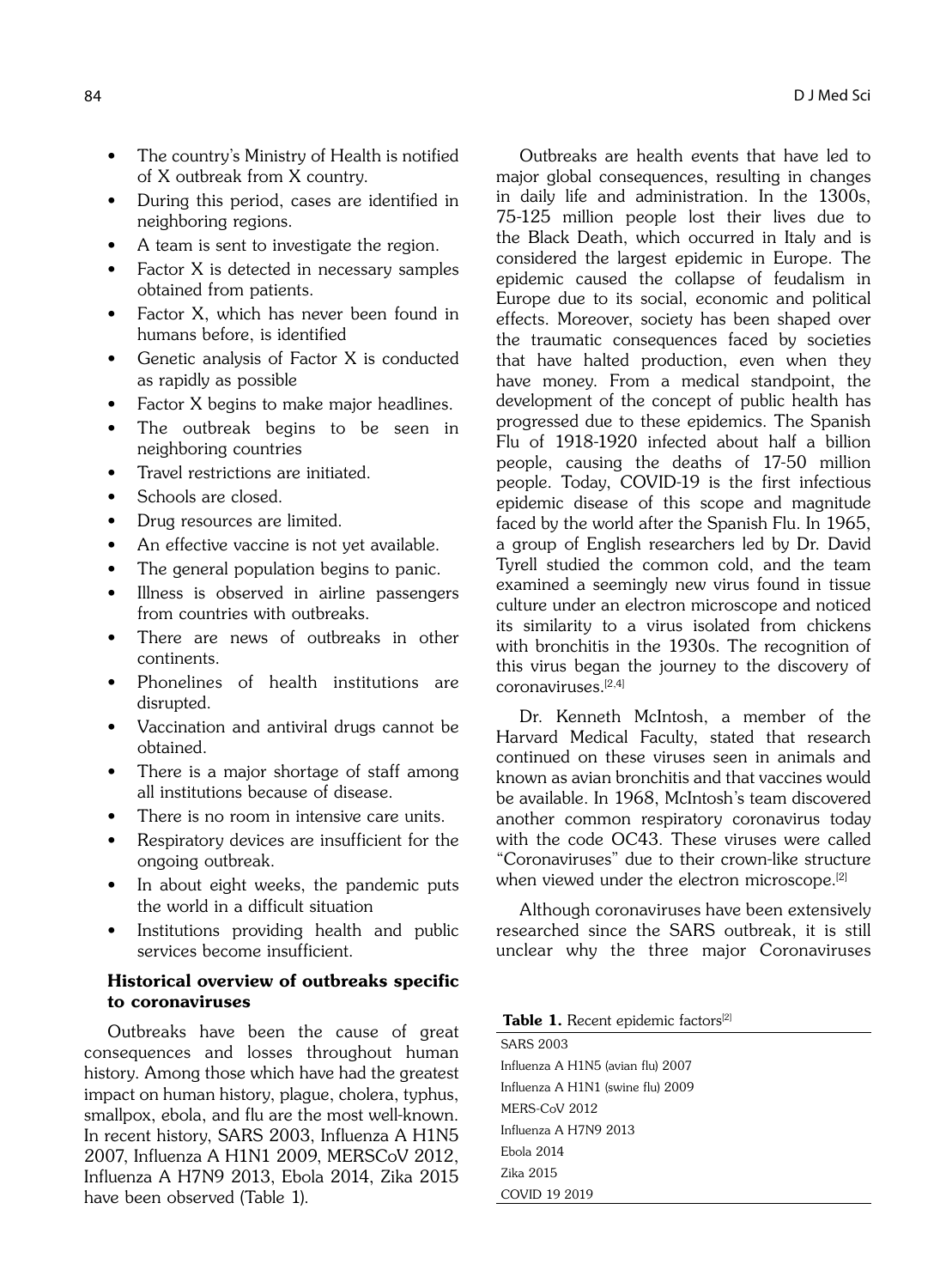- The country's Ministry of Health is notified of X outbreak from X country.
- During this period, cases are identified in neighboring regions.
- A team is sent to investigate the region.
- Factor X is detected in necessary samples obtained from patients.
- Factor X, which has never been found in humans before, is identified
- Genetic analysis of Factor X is conducted as rapidly as possible
- Factor X begins to make major headlines.
- The outbreak begins to be seen in neighboring countries
- Travel restrictions are initiated.
- Schools are closed.
- Drug resources are limited.
- An effective vaccine is not yet available.
- The general population begins to panic.
- Illness is observed in airline passengers from countries with outbreaks.
- There are news of outbreaks in other continents.
- Phonelines of health institutions are disrupted.
- Vaccination and antiviral drugs cannot be obtained.
- There is a major shortage of staff among all institutions because of disease.
- There is no room in intensive care units.
- Respiratory devices are insufficient for the ongoing outbreak.
- In about eight weeks, the pandemic puts the world in a difficult situation
- Institutions providing health and public services become insufficient.

# Historical overview of outbreaks specific to coronaviruses

Outbreaks have been the cause of great consequences and losses throughout human history. Among those which have had the greatest impact on human history, plague, cholera, typhus, smallpox, ebola, and flu are the most well-known. In recent history, SARS 2003, Influenza A H1N5 2007, Influenza A H1N1 2009, MERSCoV 2012, Influenza A H7N9 2013, Ebola 2014, Zika 2015 have been observed (Table 1).

Outbreaks are health events that have led to major global consequences, resulting in changes in daily life and administration. In the 1300s, 75-125 million people lost their lives due to the Black Death, which occurred in Italy and is considered the largest epidemic in Europe. The epidemic caused the collapse of feudalism in Europe due to its social, economic and political effects. Moreover, society has been shaped over the traumatic consequences faced by societies that have halted production, even when they have money. From a medical standpoint, the development of the concept of public health has progressed due to these epidemics. The Spanish Flu of 1918-1920 infected about half a billion people, causing the deaths of 17-50 million people. Today, COVID-19 is the first infectious epidemic disease of this scope and magnitude faced by the world after the Spanish Flu. In 1965, a group of English researchers led by Dr. David Tyrell studied the common cold, and the team examined a seemingly new virus found in tissue culture under an electron microscope and noticed its similarity to a virus isolated from chickens with bronchitis in the 1930s. The recognition of this virus began the journey to the discovery of  $coronaviruses$ <sup>[2,4]</sup>

Dr. Kenneth McIntosh, a member of the Harvard Medical Faculty, stated that research continued on these viruses seen in animals and known as avian bronchitis and that vaccines would be available. In 1968, McIntosh's team discovered another common respiratory coronavirus today with the code OC43. These viruses were called "Coronaviruses" due to their crown-like structure when viewed under the electron microscope.<sup>[2]</sup>

Although coronaviruses have been extensively researched since the SARS outbreak, it is still unclear why the three major Coronaviruses

#### Table 1. Recent epidemic factors<sup>[2]</sup>

SARS 2003 Influenza A H1N5 (avian flu) 2007 Influenza A H1N1 (swine flu) 2009 MERS-CoV 2012 Influenza A H7N9 2013 Ebola 2014 Zika 2015 COVID 19 2019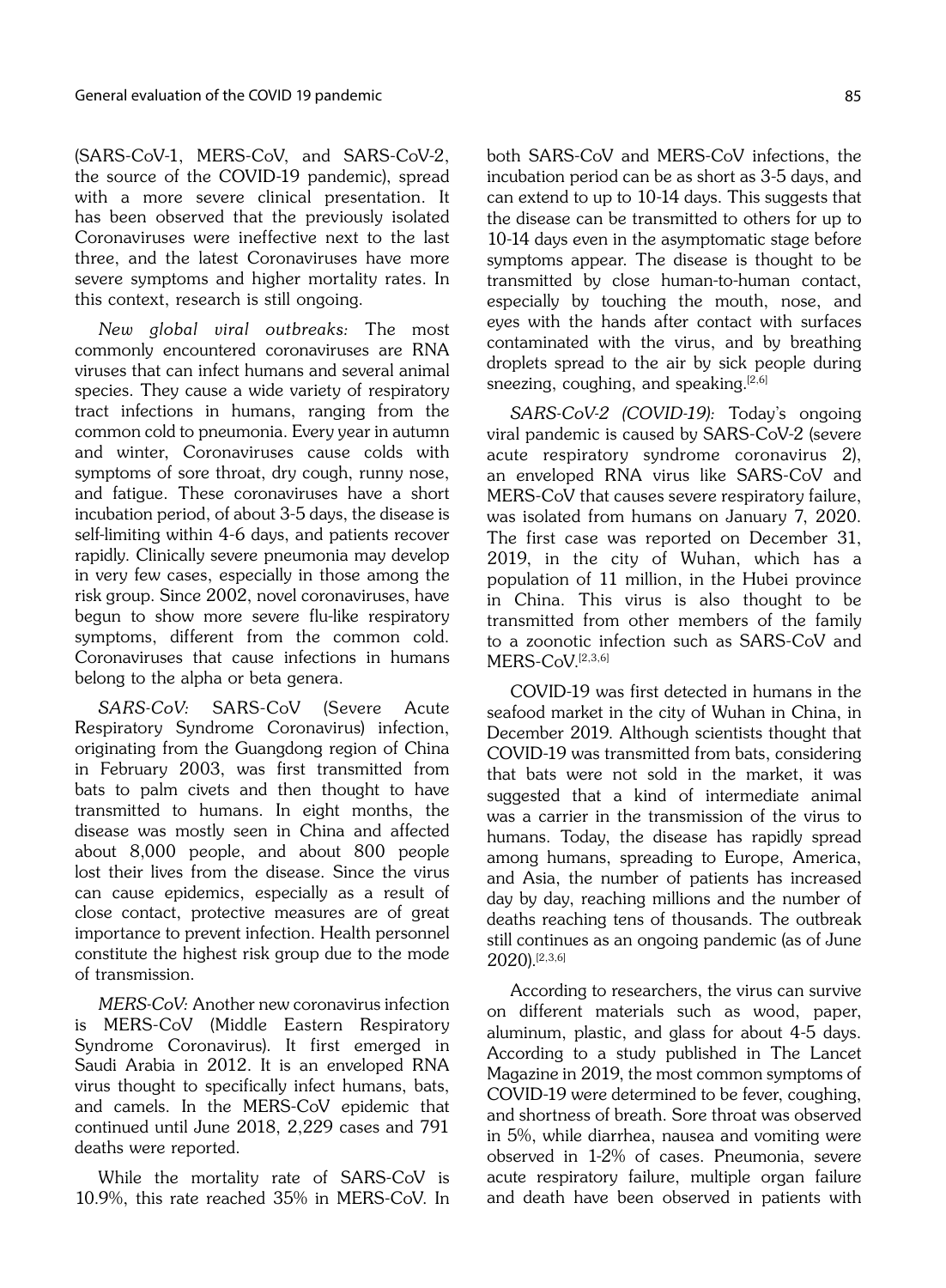(SARS-CoV-1, MERS-CoV, and SARS-CoV-2, the source of the COVID-19 pandemic), spread with a more severe clinical presentation. It has been observed that the previously isolated Coronaviruses were ineffective next to the last three, and the latest Coronaviruses have more severe symptoms and higher mortality rates. In this context, research is still ongoing.

New global viral outbreaks: The most commonly encountered coronaviruses are RNA viruses that can infect humans and several animal species. They cause a wide variety of respiratory tract infections in humans, ranging from the common cold to pneumonia. Every year in autumn and winter, Coronaviruses cause colds with symptoms of sore throat, dry cough, runny nose, and fatigue. These coronaviruses have a short incubation period, of about 3-5 days, the disease is self-limiting within 4-6 days, and patients recover rapidly. Clinically severe pneumonia may develop in very few cases, especially in those among the risk group. Since 2002, novel coronaviruses, have begun to show more severe flu-like respiratory symptoms, different from the common cold. Coronaviruses that cause infections in humans belong to the alpha or beta genera.

SARS-CoV: SARS-CoV (Severe Acute Respiratory Syndrome Coronavirus) infection, originating from the Guangdong region of China in February 2003, was first transmitted from bats to palm civets and then thought to have transmitted to humans. In eight months, the disease was mostly seen in China and affected about 8,000 people, and about 800 people lost their lives from the disease. Since the virus can cause epidemics, especially as a result of close contact, protective measures are of great importance to prevent infection. Health personnel constitute the highest risk group due to the mode of transmission.

MERS-CoV: Another new coronavirus infection is MERS-CoV (Middle Eastern Respiratory Syndrome Coronavirus). It first emerged in Saudi Arabia in 2012. It is an enveloped RNA virus thought to specifically infect humans, bats, and camels. In the MERS-CoV epidemic that continued until June 2018, 2,229 cases and 791 deaths were reported.

While the mortality rate of SARS-CoV is 10.9%, this rate reached 35% in MERS-CoV. In both SARS-CoV and MERS-CoV infections, the incubation period can be as short as 3-5 days, and can extend to up to 10-14 days. This suggests that the disease can be transmitted to others for up to 10-14 days even in the asymptomatic stage before symptoms appear. The disease is thought to be transmitted by close human-to-human contact, especially by touching the mouth, nose, and eyes with the hands after contact with surfaces contaminated with the virus, and by breathing droplets spread to the air by sick people during sneezing, coughing, and speaking. $[2,6]$ 

SARS-CoV-2 (COVID-19): Today's ongoing viral pandemic is caused by SARS-CoV-2 (severe acute respiratory syndrome coronavirus 2), an enveloped RNA virus like SARS-CoV and MERS-CoV that causes severe respiratory failure, was isolated from humans on January 7, 2020. The first case was reported on December 31, 2019, in the city of Wuhan, which has a population of 11 million, in the Hubei province in China. This virus is also thought to be transmitted from other members of the family to a zoonotic infection such as SARS-CoV and MERS-CoV.[2,3,6]

COVID-19 was first detected in humans in the seafood market in the city of Wuhan in China, in December 2019. Although scientists thought that COVID-19 was transmitted from bats, considering that bats were not sold in the market, it was suggested that a kind of intermediate animal was a carrier in the transmission of the virus to humans. Today, the disease has rapidly spread among humans, spreading to Europe, America, and Asia, the number of patients has increased day by day, reaching millions and the number of deaths reaching tens of thousands. The outbreak still continues as an ongoing pandemic (as of June 2020).[2,3,6]

According to researchers, the virus can survive on different materials such as wood, paper, aluminum, plastic, and glass for about 4-5 days. According to a study published in The Lancet Magazine in 2019, the most common symptoms of COVID-19 were determined to be fever, coughing, and shortness of breath. Sore throat was observed in 5%, while diarrhea, nausea and vomiting were observed in 1-2% of cases. Pneumonia, severe acute respiratory failure, multiple organ failure and death have been observed in patients with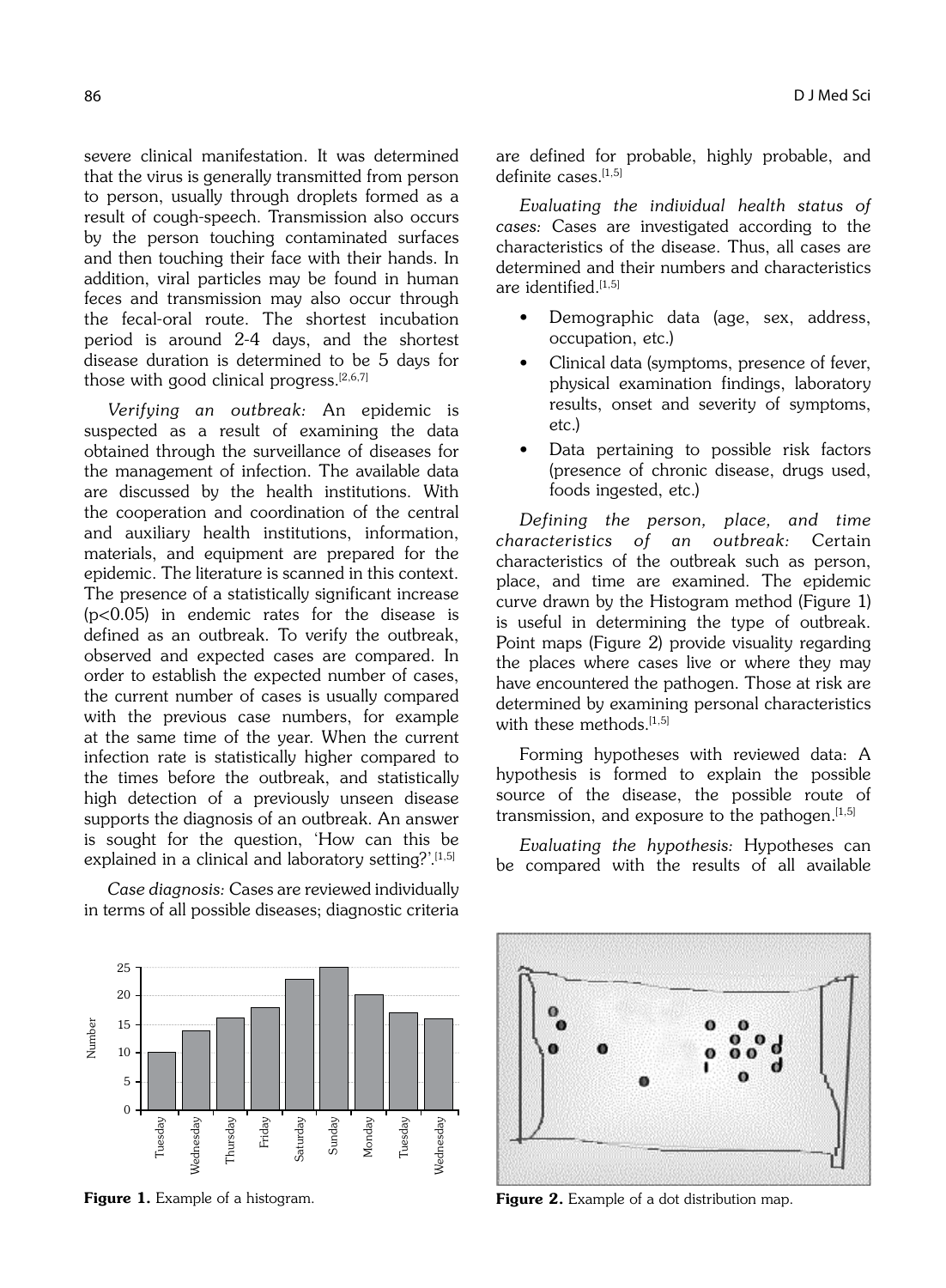severe clinical manifestation. It was determined that the virus is generally transmitted from person to person, usually through droplets formed as a result of cough-speech. Transmission also occurs by the person touching contaminated surfaces and then touching their face with their hands. In addition, viral particles may be found in human feces and transmission may also occur through the fecal-oral route. The shortest incubation period is around 2-4 days, and the shortest disease duration is determined to be 5 days for those with good clinical progress. $[2,6,7]$ 

Verifying an outbreak: An epidemic is suspected as a result of examining the data obtained through the surveillance of diseases for the management of infection. The available data are discussed by the health institutions. With the cooperation and coordination of the central and auxiliary health institutions, information, materials, and equipment are prepared for the epidemic. The literature is scanned in this context. The presence of a statistically significant increase (p<0.05) in endemic rates for the disease is defined as an outbreak. To verify the outbreak, observed and expected cases are compared. In order to establish the expected number of cases, the current number of cases is usually compared with the previous case numbers, for example at the same time of the year. When the current infection rate is statistically higher compared to the times before the outbreak, and statistically high detection of a previously unseen disease supports the diagnosis of an outbreak. An answer is sought for the question, 'How can this be explained in a clinical and laboratory setting?'.[1,5]

Case diagnosis: Cases are reviewed individually in terms of all possible diseases; diagnostic criteria



Evaluating the individual health status of cases: Cases are investigated according to the characteristics of the disease. Thus, all cases are determined and their numbers and characteristics are identified $[1,5]$ 

- Demographic data (age, sex, address, occupation, etc.)
- Clinical data (symptoms, presence of fever, physical examination findings, laboratory results, onset and severity of symptoms, etc.)
- Data pertaining to possible risk factors (presence of chronic disease, drugs used, foods ingested, etc.)

Defining the person, place, and time characteristics of an outbreak: Certain characteristics of the outbreak such as person, place, and time are examined. The epidemic curve drawn by the Histogram method (Figure 1) is useful in determining the type of outbreak. Point maps (Figure 2) provide visuality regarding the places where cases live or where they may have encountered the pathogen. Those at risk are determined by examining personal characteristics with these methods.<sup>[1,5]</sup>

Forming hypotheses with reviewed data: A hypothesis is formed to explain the possible source of the disease, the possible route of transmission, and exposure to the pathogen. $[1,5]$ 

Evaluating the hypothesis: Hypotheses can be compared with the results of all available





Figure 1. Example of a histogram. The state of a dot distribution map.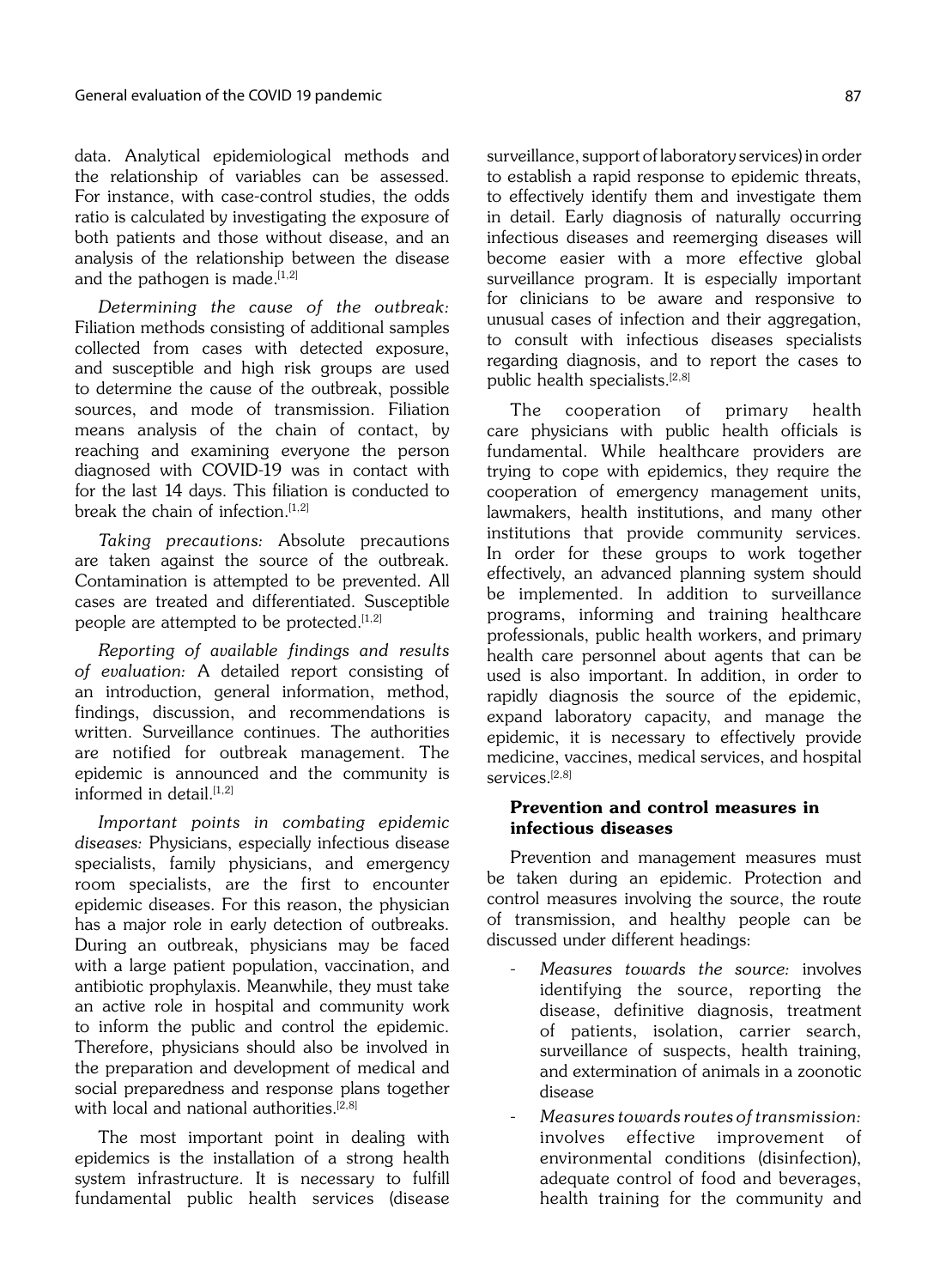data. Analytical epidemiological methods and the relationship of variables can be assessed. For instance, with case-control studies, the odds ratio is calculated by investigating the exposure of both patients and those without disease, and an analysis of the relationship between the disease and the pathogen is made.[1,2]

Determining the cause of the outbreak: Filiation methods consisting of additional samples collected from cases with detected exposure, and susceptible and high risk groups are used to determine the cause of the outbreak, possible sources, and mode of transmission. Filiation means analysis of the chain of contact, by reaching and examining everyone the person diagnosed with COVID-19 was in contact with for the last 14 days. This filiation is conducted to break the chain of infection. $[1,2]$ 

Taking precautions: Absolute precautions are taken against the source of the outbreak. Contamination is attempted to be prevented. All cases are treated and differentiated. Susceptible people are attempted to be protected. $[1,2]$ 

Reporting of available findings and results of evaluation: A detailed report consisting of an introduction, general information, method, findings, discussion, and recommendations is written. Surveillance continues. The authorities are notified for outbreak management. The epidemic is announced and the community is informed in detail.<sup>[1,2]</sup>

Important points in combating epidemic diseases: Physicians, especially infectious disease specialists, family physicians, and emergency room specialists, are the first to encounter epidemic diseases. For this reason, the physician has a major role in early detection of outbreaks. During an outbreak, physicians may be faced with a large patient population, vaccination, and antibiotic prophylaxis. Meanwhile, they must take an active role in hospital and community work to inform the public and control the epidemic. Therefore, physicians should also be involved in the preparation and development of medical and social preparedness and response plans together with local and national authorities.<sup>[2,8]</sup>

The most important point in dealing with epidemics is the installation of a strong health system infrastructure. It is necessary to fulfill fundamental public health services (disease

surveillance, support of laboratory services) in order to establish a rapid response to epidemic threats, to effectively identify them and investigate them in detail. Early diagnosis of naturally occurring infectious diseases and reemerging diseases will become easier with a more effective global surveillance program. It is especially important for clinicians to be aware and responsive to unusual cases of infection and their aggregation, to consult with infectious diseases specialists regarding diagnosis, and to report the cases to public health specialists.<sup>[2,8]</sup>

The cooperation of primary health care physicians with public health officials is fundamental. While healthcare providers are trying to cope with epidemics, they require the cooperation of emergency management units, lawmakers, health institutions, and many other institutions that provide community services. In order for these groups to work together effectively, an advanced planning system should be implemented. In addition to surveillance programs, informing and training healthcare professionals, public health workers, and primary health care personnel about agents that can be used is also important. In addition, in order to rapidly diagnosis the source of the epidemic, expand laboratory capacity, and manage the epidemic, it is necessary to effectively provide medicine, vaccines, medical services, and hospital services<sup>[2,8]</sup>

## Prevention and control measures in infectious diseases

Prevention and management measures must be taken during an epidemic. Protection and control measures involving the source, the route of transmission, and healthy people can be discussed under different headings:

- Measures towards the source: involves identifying the source, reporting the disease, definitive diagnosis, treatment of patients, isolation, carrier search, surveillance of suspects, health training, and extermination of animals in a zoonotic disease
- Measures towards routes of transmission: involves effective improvement of environmental conditions (disinfection), adequate control of food and beverages, health training for the community and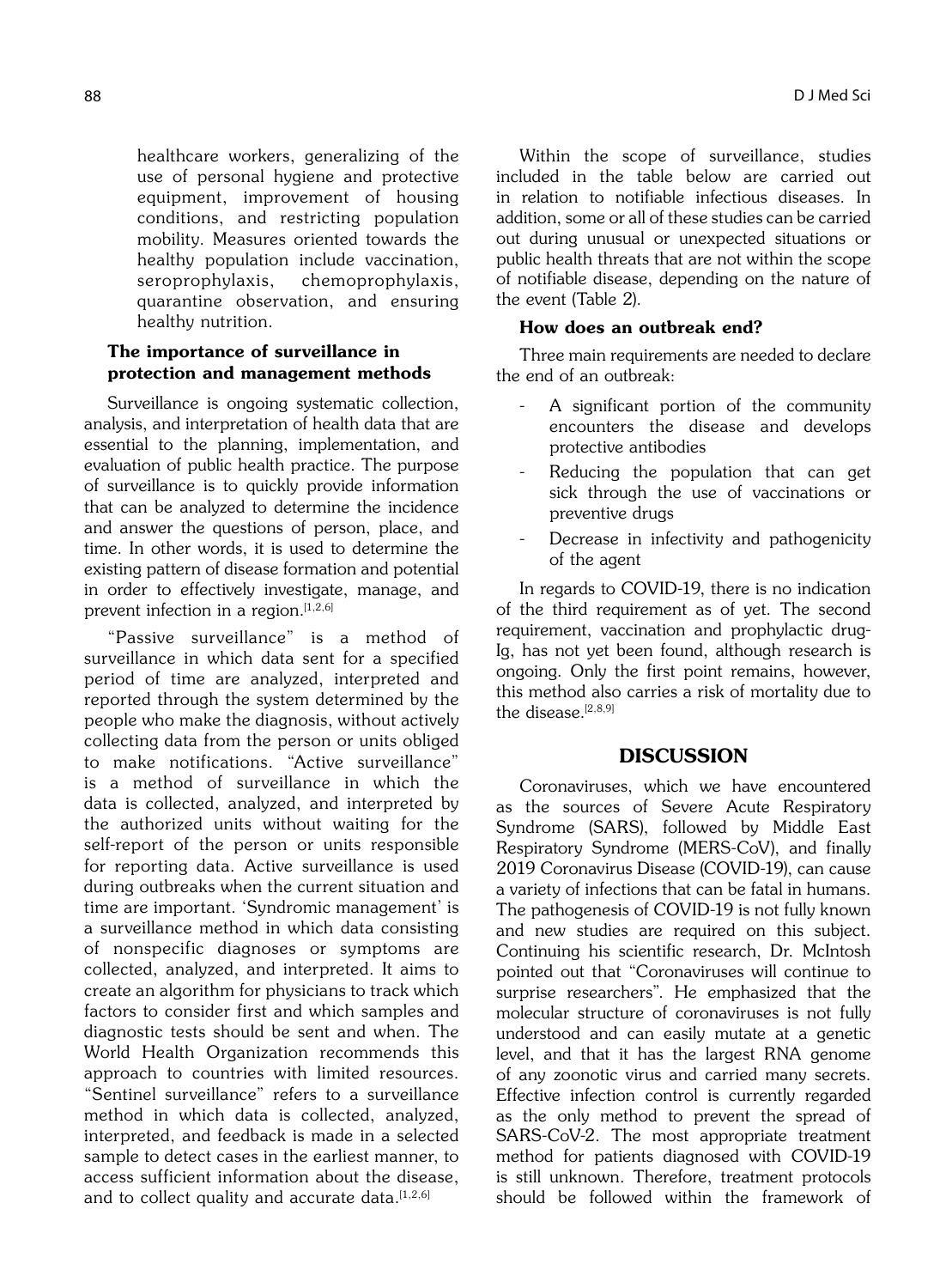healthcare workers, generalizing of the use of personal hygiene and protective equipment, improvement of housing conditions, and restricting population mobility. Measures oriented towards the healthy population include vaccination, seroprophylaxis, chemoprophylaxis, quarantine observation, and ensuring healthy nutrition.

# The importance of surveillance in protection and management methods

Surveillance is ongoing systematic collection, analysis, and interpretation of health data that are essential to the planning, implementation, and evaluation of public health practice. The purpose of surveillance is to quickly provide information that can be analyzed to determine the incidence and answer the questions of person, place, and time. In other words, it is used to determine the existing pattern of disease formation and potential in order to effectively investigate, manage, and prevent infection in a region.<sup>[1,2,6]</sup>

"Passive surveillance" is a method of surveillance in which data sent for a specified period of time are analyzed, interpreted and reported through the system determined by the people who make the diagnosis, without actively collecting data from the person or units obliged to make notifications. "Active surveillance" is a method of surveillance in which the data is collected, analyzed, and interpreted by the authorized units without waiting for the self-report of the person or units responsible for reporting data. Active surveillance is used during outbreaks when the current situation and time are important. 'Syndromic management' is a surveillance method in which data consisting of nonspecific diagnoses or symptoms are collected, analyzed, and interpreted. It aims to create an algorithm for physicians to track which factors to consider first and which samples and diagnostic tests should be sent and when. The World Health Organization recommends this approach to countries with limited resources. "Sentinel surveillance" refers to a surveillance method in which data is collected, analyzed, interpreted, and feedback is made in a selected sample to detect cases in the earliest manner, to access sufficient information about the disease, and to collect quality and accurate data.  $[1,2,6]$ 

Within the scope of surveillance, studies included in the table below are carried out in relation to notifiable infectious diseases. In addition, some or all of these studies can be carried out during unusual or unexpected situations or public health threats that are not within the scope of notifiable disease, depending on the nature of the event (Table 2).

## How does an outbreak end?

Three main requirements are needed to declare the end of an outbreak:

- A significant portion of the community encounters the disease and develops protective antibodies
- Reducing the population that can get sick through the use of vaccinations or preventive drugs
- Decrease in infectivity and pathogenicity of the agent

In regards to COVID-19, there is no indication of the third requirement as of yet. The second requirement, vaccination and prophylactic drug-Ig, has not yet been found, although research is ongoing. Only the first point remains, however, this method also carries a risk of mortality due to the disease.<sup>[2,8,9]</sup>

# DISCUSSION

Coronaviruses, which we have encountered as the sources of Severe Acute Respiratory Syndrome (SARS), followed by Middle East Respiratory Syndrome (MERS-CoV), and finally 2019 Coronavirus Disease (COVID-19), can cause a variety of infections that can be fatal in humans. The pathogenesis of COVID-19 is not fully known and new studies are required on this subject. Continuing his scientific research, Dr. McIntosh pointed out that "Coronaviruses will continue to surprise researchers". He emphasized that the molecular structure of coronaviruses is not fully understood and can easily mutate at a genetic level, and that it has the largest RNA genome of any zoonotic virus and carried many secrets. Effective infection control is currently regarded as the only method to prevent the spread of SARS-CoV-2. The most appropriate treatment method for patients diagnosed with COVID-19 is still unknown. Therefore, treatment protocols should be followed within the framework of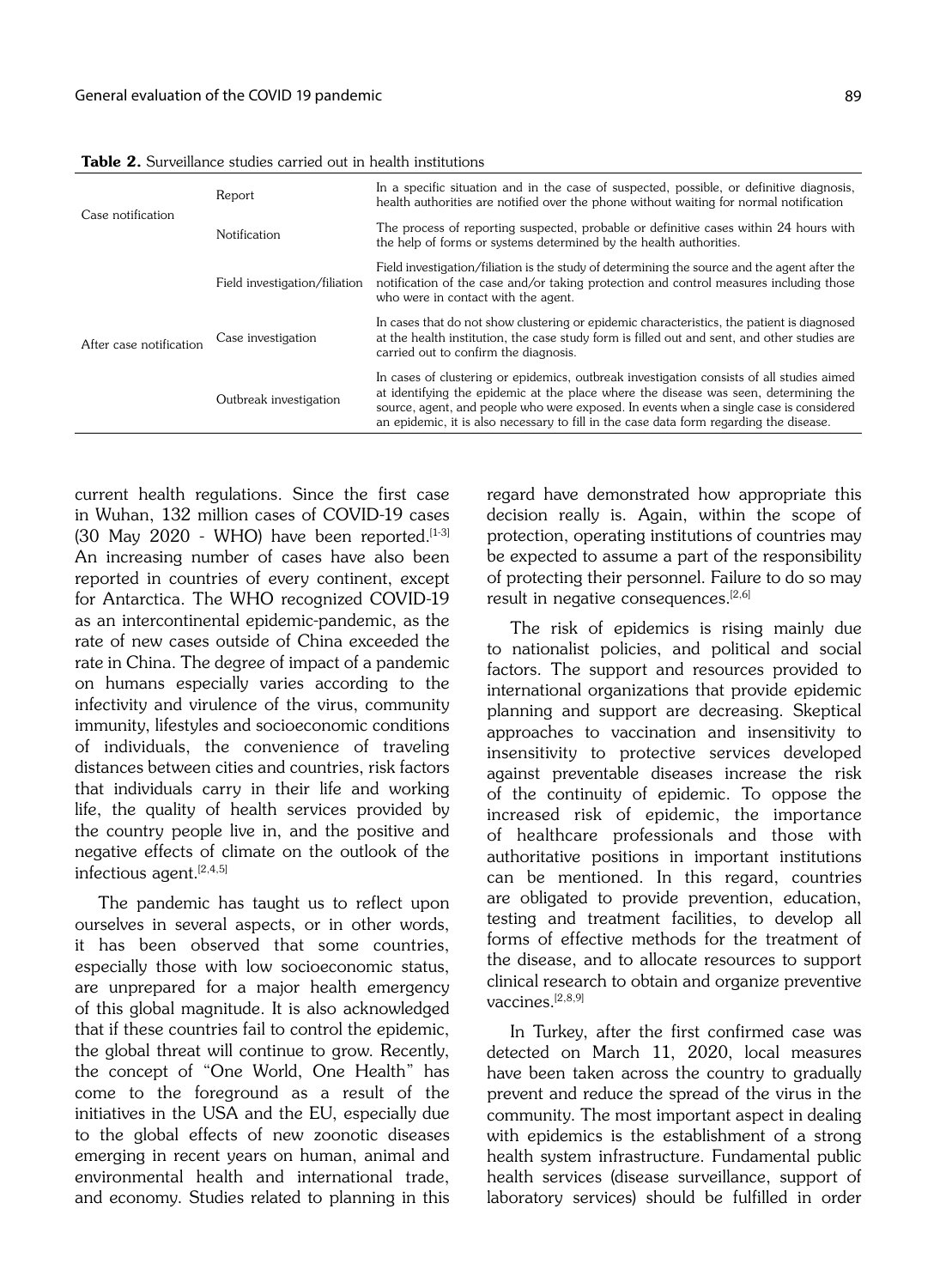| Case notification       | Report                        | In a specific situation and in the case of suspected, possible, or definitive diagnosis,<br>health authorities are notified over the phone without waiting for normal notification                                                                                                                                                                                    |
|-------------------------|-------------------------------|-----------------------------------------------------------------------------------------------------------------------------------------------------------------------------------------------------------------------------------------------------------------------------------------------------------------------------------------------------------------------|
|                         | <b>Notification</b>           | The process of reporting suspected, probable or definitive cases within 24 hours with<br>the help of forms or systems determined by the health authorities.                                                                                                                                                                                                           |
| After case notification | Field investigation/filiation | Field investigation/filiation is the study of determining the source and the agent after the<br>notification of the case and/or taking protection and control measures including those<br>who were in contact with the agent.                                                                                                                                         |
|                         | Case investigation            | In cases that do not show clustering or epidemic characteristics, the patient is diagnosed<br>at the health institution, the case study form is filled out and sent, and other studies are<br>carried out to confirm the diagnosis.                                                                                                                                   |
|                         | Outbreak investigation        | In cases of clustering or epidemics, outbreak investigation consists of all studies aimed<br>at identifying the epidemic at the place where the disease was seen, determining the<br>source, agent, and people who were exposed. In events when a single case is considered<br>an epidemic, it is also necessary to fill in the case data form regarding the disease. |

Table 2. Surveillance studies carried out in health institutions

current health regulations. Since the first case in Wuhan, 132 million cases of COVID-19 cases (30 May 2020 - WHO) have been reported. $[1-3]$ An increasing number of cases have also been reported in countries of every continent, except for Antarctica. The WHO recognized COVID-19 as an intercontinental epidemic-pandemic, as the rate of new cases outside of China exceeded the rate in China. The degree of impact of a pandemic on humans especially varies according to the infectivity and virulence of the virus, community immunity, lifestyles and socioeconomic conditions of individuals, the convenience of traveling distances between cities and countries, risk factors that individuals carry in their life and working life, the quality of health services provided by the country people live in, and the positive and negative effects of climate on the outlook of the infectious agent.<sup>[2,4,5]</sup>

The pandemic has taught us to reflect upon ourselves in several aspects, or in other words, it has been observed that some countries, especially those with low socioeconomic status, are unprepared for a major health emergency of this global magnitude. It is also acknowledged that if these countries fail to control the epidemic, the global threat will continue to grow. Recently, the concept of "One World, One Health" has come to the foreground as a result of the initiatives in the USA and the EU, especially due to the global effects of new zoonotic diseases emerging in recent years on human, animal and environmental health and international trade, and economy. Studies related to planning in this regard have demonstrated how appropriate this decision really is. Again, within the scope of protection, operating institutions of countries may be expected to assume a part of the responsibility of protecting their personnel. Failure to do so may result in negative consequences.<sup>[2,6]</sup>

The risk of epidemics is rising mainly due to nationalist policies, and political and social factors. The support and resources provided to international organizations that provide epidemic planning and support are decreasing. Skeptical approaches to vaccination and insensitivity to insensitivity to protective services developed against preventable diseases increase the risk of the continuity of epidemic. To oppose the increased risk of epidemic, the importance of healthcare professionals and those with authoritative positions in important institutions can be mentioned. In this regard, countries are obligated to provide prevention, education, testing and treatment facilities, to develop all forms of effective methods for the treatment of the disease, and to allocate resources to support clinical research to obtain and organize preventive vaccines $[2,8,9]$ 

In Turkey, after the first confirmed case was detected on March 11, 2020, local measures have been taken across the country to gradually prevent and reduce the spread of the virus in the community. The most important aspect in dealing with epidemics is the establishment of a strong health system infrastructure. Fundamental public health services (disease surveillance, support of laboratory services) should be fulfilled in order